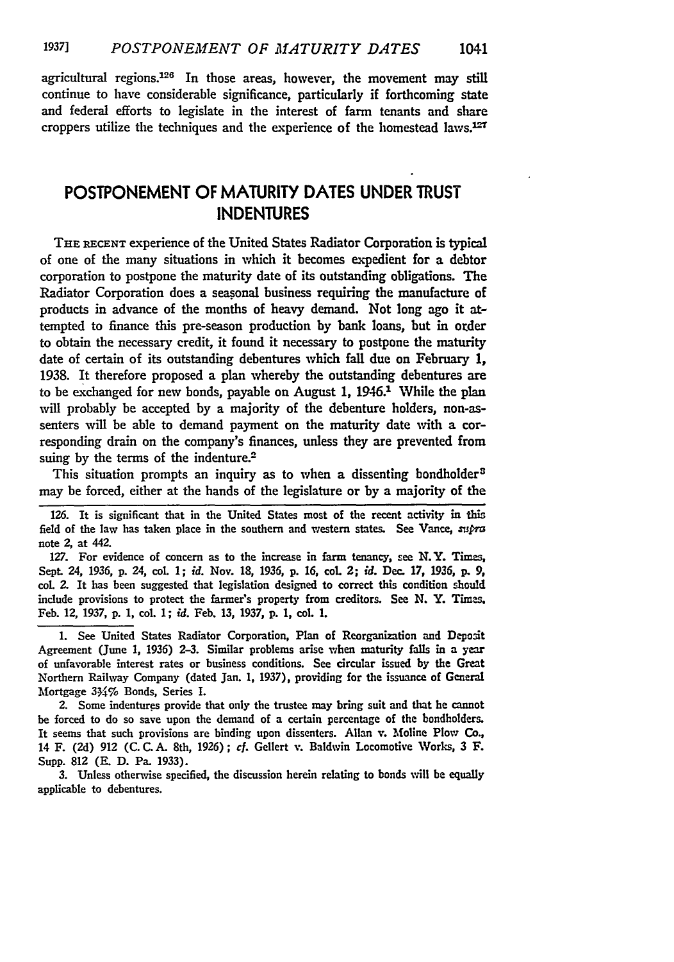agricultural regions.<sup>126</sup> In those areas, however, the movement may still continue to have considerable significance, particularly if forthcoming state and federal efforts to legislate in the interest of farm tenants and share croppers utilize the techniques and the experience of the homestead laws.12T

## **POSTPONEMENT** OF MATURITY **DATES UNDER** TRUST **INDENTURES**

THE RECENT experience of the United States Radiator Corporation is typical of one of the many situations in which it becomes expedient for a debtor corporation to postpone the maturity date **of** its outstanding obligations. The Radiator Corporation does a seasonal business requiring the manufacture of products in advance of the months of heavy demand. Not long ago it attempted to finance this pre-season production by bank loans, but in order to obtain the necessary credit, it found it necessary to postpone the maturity date of certain of its outstanding debentures which fall due on February 1, 1938. It therefore proposed a plan whereby the outstanding debentures are to be exchanged for new bonds, payable on August 1, 1946.<sup>1</sup> While the plan will probably be accepted **by** a majority of the debenture holders, non-assenters will be able to demand payment on the maturity date with a corresponding drain **on** the company's finances, unless they are prevented from suing by the terms of the indenture.<sup>2</sup>

This situation prompts an inquiry as to when a dissenting bondholder<sup>3</sup> may be forced, either at the hands of the legislature or by a majority of the

**126.** It is significant that in the United States most of the recent activity in this field of the law has taken place in the southern and western states. See Vance, tupra note 2, at 442.

**127.** For evidence of concern as to the increase in farm tenancy, see N.Y. Times, Sept. 24, **1936, p.** 24, col **1;** *id.* Nov. **18,** 1936, p. **16, col 2;** *id.* Dec. **17, 1936, p.** *9,* coL 2. It has been suggested that legislation designed to correct this condition should include provisions to protect the farmer's property from creditors. See **N.** Y. Times Feb. 12, **1937,** p. 1, **col.** 1; *id.* Feb. 13, **1937,** p. **1, col. 1.**

1. See United States Radiator Corporation, Plan of Reorganization and Deposit Agreement (June 1, 1936) **2-3.** Similar problems arise when maturity falls in a year of unfavorable interest rates or business conditions. See circular issued by the Great Northern Railway Company (dated Jan. **1, 1937),** providing for the issuance of General Mortgage 334% Bonds, Series I.

2. Some indentures provide that only the trustee may bring suit and that he cannot be forced to do so save upon the demand of a certain percentage of the bondholders. It seems that such provisions are binding upon dissenters. Allan v. Moline Plow **Co.,** 14 F. **(2d) 912** (C. C.A. 8th, 1926); cf. Gellert v. Baldwin Locomotive Works, **3** F. Supp. **812 (E. D.** Pa. 1933).

**3.** Unless otherwise specified, the discussion herein relating to bonds will be equally applicable to debentures.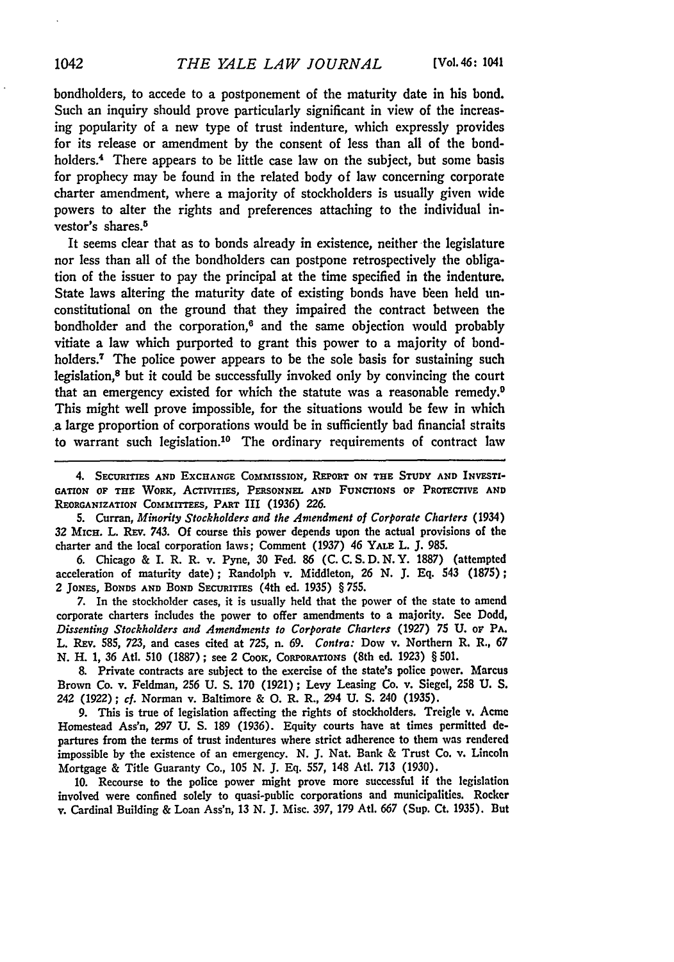bondholders, to accede to a postponement of the maturity date in his bond. Such an inquiry should prove particularly significant in view of the increasing popularity of a new type of trust indenture, which expressly provides for its release or amendment **by** the consent of less than all of the bondholders.<sup>4</sup> There appears to be little case law on the subject, but some basis for prophecy may be found in the related body of law concerning corporate charter amendment, where a majority of stockholders is usually given wide powers to alter the rights and preferences attaching to the individual investor's shares.<sup>5</sup>

It seems clear that as to bonds already in existence, neither the legislature nor less than all of the bondholders can postpone retrospectively the obligation of the issuer to pay the principal at the time specified in the indenture. State laws altering the maturity date of existing bonds have been held **un**constitutional on the ground that they impaired the contract between the bondholder and the corporation, $6$  and the same objection would probably vitiate a law which purported to grant this power to a majority of bondholders.<sup>7</sup> The police power appears to be the sole basis for sustaining such legislation,8 but it could be successfully invoked only **by** convincing the court that an emergency existed for which the statute was a reasonable remedy.9 This might well prove impossible, for the situations would be few in which a large proportion of corporations would be in sufficiently bad financial straits to warrant such legislation.<sup>10</sup> The ordinary requirements of contract law

4. **SECURITIES AND EXCHANGE COMMISSION, REPORT ON THE STUDY AND INVESTI-**GATION OF THE WORK, ACTIVITIES, PERSONNEL AND FUNCTIONS OF PROTECTIVE AND **REORGANIZATION COMMITTEES, PART III** *(1936)* **226.**

**5.** Curran, *Minority Stockholders and the Amendment of Corporate Charters* (1934) **32** MrcH. L. REv. 743. **Of** course **this power depends** upon the actual provisions of the **charter and** the **local corporation laws; Comment (1937)** 46 YALE L. **J. 985.**

**6.** Chicago **&** I. R. R. v. Pyne, **30** Fed. **86 (C. C. S. D. N.Y. 1887)** (attempted acceleration of maturity date); Randolph v. Middleton, **26 N. J. Eq.** 543 **(1875);** 2 **JONES, BONDS AND BOND SECURITIES** (4th ed. **1935)** § **755.**

7. In the stockholder cases, it is usually held that the power of the state to amend corporate charters includes the power to offer amendments to a majority. **See** Dodd, *Dissenting Stockholders and Amendments to Corporate Charters* **(1927) 75 U.** or PA. L. **REV. 585, 723,** and cases cited at **725,** n. **69.** *Contra:* Dow **v. Northern** R. R., **67** *N.* H. **1, 36** AtI. **510 (1887) ;** see 2 **Coox,** COR'ORATIONS (8th ed. **1923)** § **501.**

**8.** Private contracts are subject to the exercise of the state's police power. Marcus Brown Co. v. Feldman, **256 U. S. 170 (1921);** Levy Leasing Co. v. Siegel, **258 U. S.** 242 **(1922);** *cf.* Norman v. Baltimore & **0.** R. R., 294 **U. S.** 240 **(1935).**

**9.** This is true of legislation affecting the rights of stockholders. Treigle v. Acme **Homestead Ass'n, 297 U. S. 189 (1936).** Equity courts have at times permitted departures from the terms of trust indentures where strict adherence to them was rendered impossible **by** the existence of an emergency. **N. J.** Nat. Bank & Trust Co. **v. Lincoln** Mortgage **&** Title Guaranty Co., **105 N. J. Eq. 557,** 148 AtI. *713* **(1930).**

**10.** Recourse to the police power might prove more successful if the legislation involved were confined solely to quasi-public corporations and municipalities. Rocker v. Cardinal Building **&** Loan Ass'n, **13 N. J.** Misc. **397, 179** Ati. **667** (Sup. Ct. **1935).** But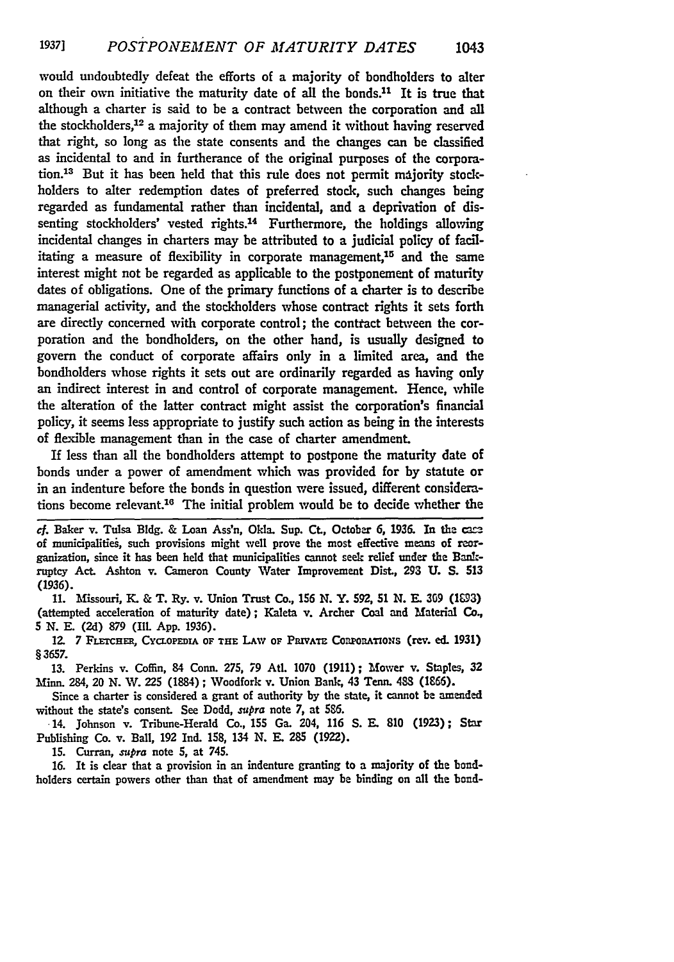would undoubtedly defeat the efforts of a majority of bondholders to alter on their own initiative the maturity date of all the bonds.<sup>11</sup> It is true that although a charter is said to be a contract between the corporation and all the stockholders,12 a majority of them may amend it without having reserved that right, so long as the state consents and the changes can be classified as incidental to and in furtherance of the original purposes of the corporation.<sup>13</sup> But it has been held that this rule does not permit majority stockholders to alter redemption dates of preferred stock, such changes being regarded as fundamental rather than incidental, and a deprivation of dissenting stockholders' vested rights.<sup>14</sup> Furthermore, the holdings allowing incidental changes in charters may be attributed to a judicial policy of facilitating a measure of flexibility in corporate management, $15$  and the same interest might not be regarded as applicable to the postponement of maturity dates of obligations. One of the primary functions of a charter is to describe managerial activity, and the stockholders whose contract rights it sets forth are directly concerned with corporate control; the contract between the corporation and the bondholders, on the other hand, is usually designed to govern the conduct of corporate affairs only in a limited area, and the bondholders whose rights it sets out are ordinarily regarded as having only an indirect interest in and control of corporate management. Hence, while the alteration of the latter contract might assist the corporation's financial policy, it seems less appropriate to justify such action as being in the interests of flexible management than in the case of charter amendment.

If less than all the bondholders attempt to postpone the maturity date of bonds under a power of amendment which was provided for by statute or in an indenture before the bonds in question were issued, different considerations become relevant.<sup>16</sup> The initial problem would be to decide whether the

cf. Baker v. Tulsa Bldg. & Loan Ass'n, Okla. Sup. CL, October **6,** 1936. In the case of municipalities, such provisions might well prove the most effective means of reorganization, since it has been held that municipalities cannot seek relief under the Bankruptcy Act. Ashton v. Cameron County Water Improvement Dist., **293 U. S. 513 (1936).**

**11.** Missouri, **K.** & T. Ry. v. Union Trust Co., **156 N.** Y. **592, 51 N.** *F\_.* **309 (103)** (attempted acceleration of maturity date); Kaleta v. Archer Coal and Material **Co.,** *5* **N. E. (2d) 879 (Ill. App. 1936).**

12. 7 FLETCHER, CYCLOPEDIA OF THE LAW OF PRIVATE CORPORATIONS (rev. ed. 1931) **§3657.**

**13.** Perkins v. Coffin, 84 Conn. **275, 79** At. **1070** (1911); Mower v. Staples, **32** Minn. 284, 20 **N.** IV. **225** (1884) **;** Woodfork v. Union Bank, 43 Tenn. **483 (1&66).**

Since a charter is considered a grant of authority by the state, it cannot be amended without the state's consent. See Dodd, *supra* note 7, at 586.

14. Johnson v. Tribune-Herald Co., **155** Ga. 204, **116 S. E. 810 (1923);** Star Publishing Co. v. Ball, **192 Ind. 158,** 134 **N. E. 285 (1922).**

**15.** Curran, *.'upra* note **5,** at 745.

**16.** It is clear that a provision in an indenture granting to a majority of the bondholders certain powers other than that of amendment may be binding on **all** the **bond-**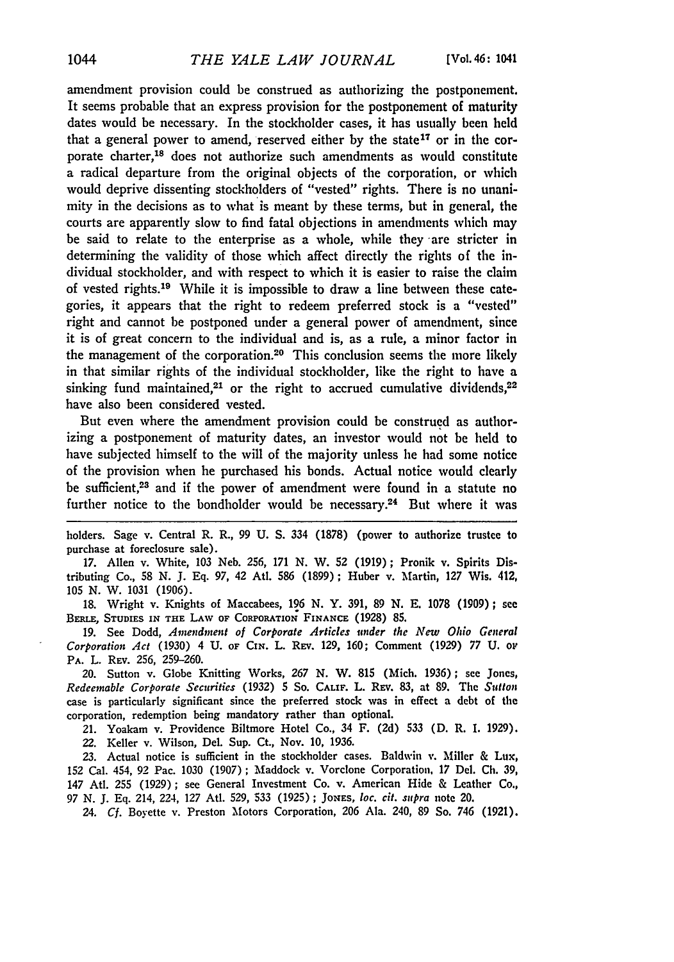amendment provision could be construed as authorizing the postponement. It seems probable that an express provision for the postponement of maturity dates would be necessary. In the stockholder cases, it has usually been held that a general power to amend, reserved either by the state<sup>17</sup> or in the corporate charter,18 does not authorize such amendments as would constitute a radical departure from the original objects of the corporation, or which would deprive dissenting stockholders of "vested" rights. There is no unanimity in the decisions as to what is meant by these terms, but in general, the courts are apparently slow to find fatal objections in amendments which may be said to relate to the enterprise as a whole, while they are stricter in determining the validity of those which affect directly the rights of the individual stockholder, and with respect to which it is easier to raise the claim of vested rights.19 While it is impossible to draw a line between these categories, it appears that the right to redeem preferred stock is a "vested" right and cannot be postponed under a general power of amendment, since it is of great concern to the individual and is, as a rule, a minor factor in the management of the corporation.<sup>20</sup> This conclusion seems the more likely in that similar rights of the individual stockholder, like the right to have a sinking fund maintained, $21$  or the right to accrued cumulative dividends, $22$ have also been considered vested.

But even where the amendment provision could be construed as authorizing a postponement of maturity dates, an investor would not be held to have subjected himself to the will of the majority unless he had some notice of the provision when he purchased his bonds. Actual notice would clearly be sufficient,<sup>23</sup> and if the power of amendment were found in a statute no further notice to the bondholder would be necessary.24 But where it was

holders. Sage v. Central R. R., 99 U. **S.** 334 (1878) (power to authorize trustee to purchase at foreclosure sale).

17. Allen v. White, 103 Neb. 256, 171 N. W. 52 (1919); Pronik v. Spirits Distributing Co., 58 N. J. Eq. 97, 42 Atl. 586 (1899); Huber v. Martin, 127 Wis. 412, 105 N. W. 1031 (1906).

18. Wright v. Knights of Maccabees, 196 N. Y. 391, 89 N. E. 1078 (1909); see **BERLE, STUDIES IN THE** LAW OF **CORPORATION FINANCE** (1928) **85.**

19. See Dodd, *Amendment of Corporate Articles under the New Ohio General Corporation Act* (1930) 4 **U. OF CiN.** L. REv. 129, 160; Comment (1929) 77 U. **o1 PA.** L. REv. 256, 259-260.

20. Sutton v. Globe Knitting Works, 267 N. W. 815 (Mich. 1936); see Jones, *Redeemable Corporate Securities* (1932) 5 **So. CALIF.** L. REV. **83,** at **89.** The *Sutton* case is particularly significant since the preferred stock was in effect a debt of the corporation, redemption being mandatory rather than optional.

21. Yoakam v. Providence Biltmore Hotel Co., 34 F. **(2d) 533** (D. R. I. 1929). 22. Keller v. Wilson, Del. Sup. Ct., Nov. 10, 1936.

**23.** Actual notice is sufficient in the stockholder cases. Baldwin v. Miller & Lux, **152** Cal. 454, **92** Pac. 1030 (1907) ; Maddock v. Vorclone Corporation, 17 Del. Ch. **39,** 147 Atl. 255 (1929); see General Investment Co. v. American Hide & Leather Co., 97 N. J. Eq. 214, 224, 127 At. 529, **533** (1925) ; **JoNEs,** *10c. cit. supra* note 20.

24. *Cf.* Boyette v. Preston Motors Corporation, 206 Ala. 240, 89 So. 746 (1921).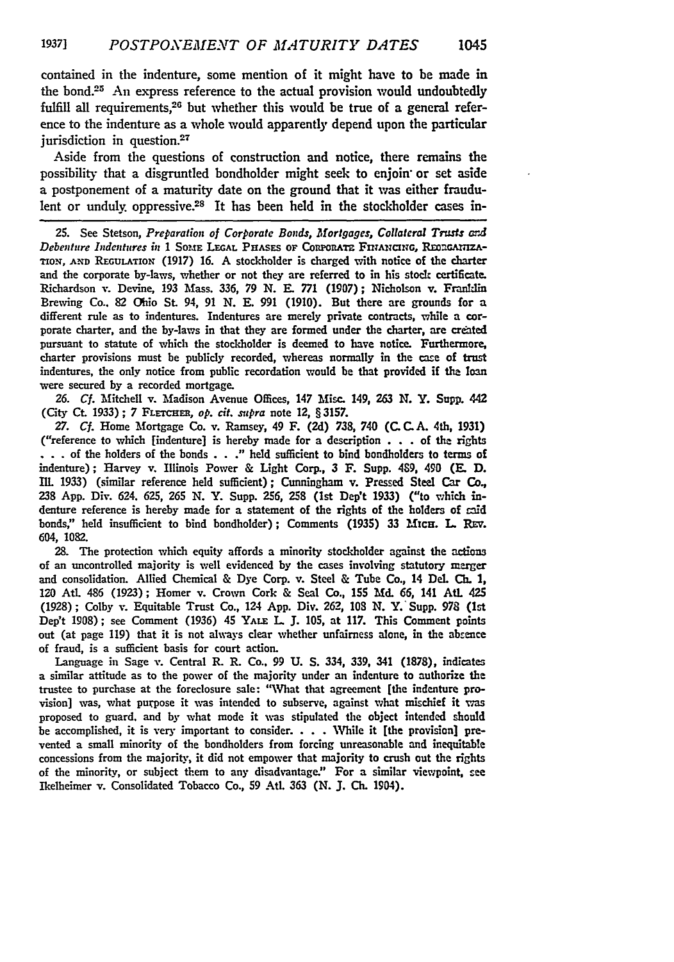contained in the indenture, some mention of it might have to be made in the **bond.2 <sup>5</sup>**An express reference to the actual provision would undoubtedly fulfill all requirements.<sup>26</sup> but whether this would be true of a general reference to the indenture as a whole would apparently depend upon the particular jurisdiction in question.<sup>27</sup>

Aside from the questions of construction and notice, there remains the possibility that a disgruntled bondholder might seek to enjoin or set aside a postponement of a maturity date on the ground that it was either fraudulent or unduly oppressive.<sup>28</sup> It has been held in the stockholder cases in-

25. See Stetson, *Preparation of Corporate Bonds, Mortgages, Collateral Trusts* **ard** *Debenture Indentures in* 1 SomE **LEGAL PHrASES oF ComnonA= Fn** i ml *,* **R onaAnzA-**TION, **AND REGULATION (1917) 16.** A stockholder is charged with notice of the charter and the corporate by-laws, whether or not they are referred to in his stock certificate. Richardson v. Devine, **193** Mass. **336, 79 N.** E. **771 (1907);** Nicholson v. Franlin Brewing Co.. **82** Ohio St. 94, **91 N.** E. **991 (1910).** But **there** are grounds for a different rule as to indentures. Indentures are merely private contracts, while a corporate charter, and the by-laws in that they are formed under the charter, are credated pursuant to statute of which the stockholder is deemed to have notice. Furthermore, charter provisions must be publicly recorded, whereas normally in the case of trust indentures, the only notice from public recordation would be that provided if the loan were secured **by** a recorded mortgage.

**26.** *Cf.* Mitchell v. Madison Avenue Offices, 147 **Misc.** 149, **263 N.** Y. **Supp.** 442 (City Ct. 1933); 7 FLETCHER, op. cit. supra note 12, § 3157.

*27.* **Cf.** Home Mortgage Co. v. Ramsey, 49 F. **(2d) 738, 740 (C. C. A.** 4th, 1931) ("reference to which [indenture] is hereby made for a description **. . .** of the rights **. . . of** the holders of the bonds **. . ."** held sufficient to bind bondholders to terms of indenture) **;** Harvey v. Illinois Power & Light Corp., **3** F. Supp. 489, 490 **(E. D. IlL** 1933) (similar reference held sufficient); Cunningham v. Pressed Steel Car *Co.,* **238** App. Div. 624. 625, **265** N. Y. Supp. **256,** 258 (Ist Dep't **1933)** ("to which indenture reference is hereby made for a statement of the rights of the holders of **rold** bonds," held insufficient to bind bondholder); Comments **(1935) 33** Mica. L **Ray.** 604, **1082.**

**28.** The protection which equity affords a minority stockholder against the actons of an uncontrolled majority is well evidenced **by** the cases involving statutory merger and consolidation. Allied Chemical & Dye Corp. v. Steel & Tube Co., 14 Del. **Ch. 1, 120 Atl.** 486 **(1923);** Homer v. Crown Cork & Seal Co., **155 Md. 66,** 141 **At.** 425 **(1928);** Colby v. Equitable Trust Co., 124 **App.** Div. **262, 108 N.** Y. Supp. **978** (1st Dep't **1908);** see Comment **(1936)** 45 **YALE** L **J. 105,** at **117.** This Comment points out (at page **119)** that it is not always clear whether unfairness alone, in the abzence of fraud, is a sufficient basis for court action.

Language in Sage **Y.** Central R. R. Co., 99 **U. S.** 334, **339,** 341 **(1878),** indicates a similar attitude as to the power of the majority under an indenture to authorize the trustee to purchase at the foreclosure sale: "What that agreement [the indenture provision] was, what purpose it was intended to subserve, against what mischief it **was** proposed to guard, and **by** what mode it was stipulated the object intended should be accomplished, it is very important to consider. **. . .** While it [the provision] prevented a small minority of the bondholders from forcing unreasonable and inequitable concessions from the majority, it did not empower that majority to crush out the rights of the minority, or subject them to any disadvantage." For a similar viewpoint, see Ikelheimer v. Consolidated Tobacco Co., **59** Atl. **363 (N. J. Ch.** 1904).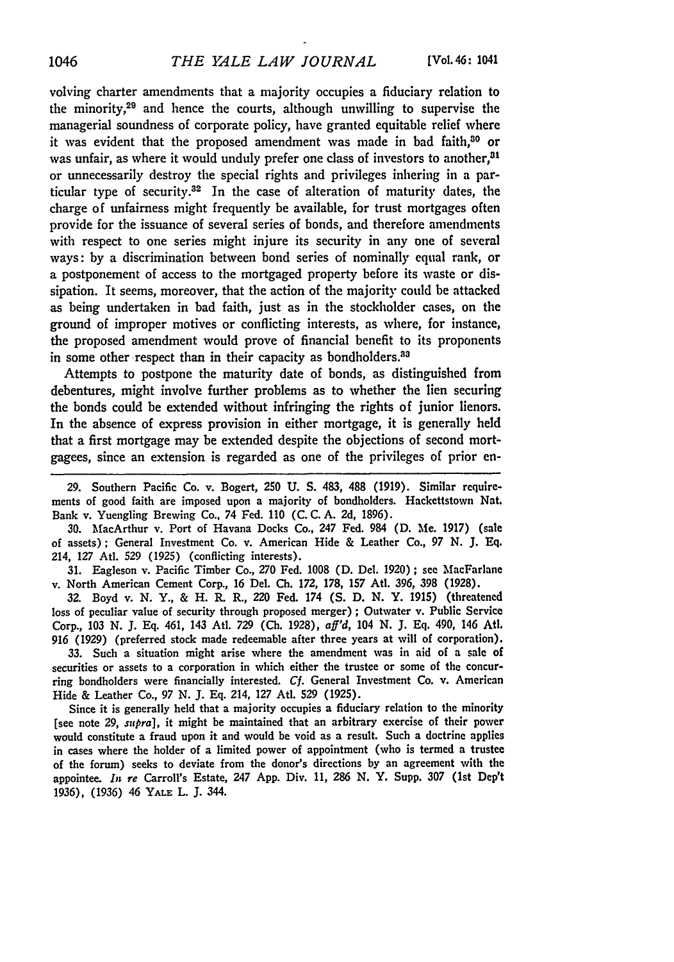volving charter amendments that a majority occupies a fiduciary relation to the minority,29 and hence the courts, although unwilling to supervise the managerial soundness of corporate policy, have granted equitable relief where it was evident that the proposed amendment was made in bad faith,<sup>30</sup> or was unfair, as where it would unduly prefer one class of investors to another,<sup>31</sup> or unnecessarily destroy the special rights and privileges inhering in a particular type of security.32 In the case of alteration of maturity dates, the charge of unfairness might frequently be available, for trust mortgages often provide for the issuance of several series of bonds, and therefore amendments with respect to one series might injure its security in any one of several ways: by a discrimination between bond series of nominally equal rank, or a postponement of access to the mortgaged property before its waste or dissipation. It seems, moreover, that the action of the majority could be attacked as being undertaken in bad faith, just as in the stockholder cases, on the ground of improper motives or conflicting interests, as where, for instance, the proposed amendment would prove of financial benefit to its proponents in some other respect than in their capacity as bondholders.<sup>33</sup>

Attempts to postpone the maturity date of bonds, as distinguished from debentures, might involve further problems as to whether the lien securing the bonds could be extended without infringing the rights of junior lienors. In the absence of express provision in either mortgage, it is generally held that a first mortgage may be extended despite the objections of second mortgagees, since an extension is regarded as one of the privileges of prior en-

29. Southern Pacific Co. v. Bogert, 250 U. S. 483, 488 (1919). Similar requirements of good faith are imposed upon a majority of bondholders. Hackettstown Nat. Bank v. Yuengling Brewing Co., 74 Fed. 110 (C. C. A. 2d, 1896).

**30.** MacArthur v. Port of Havana Docks Co., 247 Fed. 984 (D. Me. 1917) (sale of assets); General Investment Co. v. American Hide & Leather Co., 97 N. J. Eq. 214, 127 At1. 529 (1925) (conflicting interests).

31. Eagleson v. Pacific Timber Co., *270* Fed. 1008 (D. Del. 1920) ; see MacFarlane v. North American Cement Corp., 16 Del. Ch. 172, 178, 157 Atl. 396, 398 (1928).

32. Boyd v. N. Y., & H. R. R., 220 Fed. 174 **(S.** D. N. Y. 1915) (threatened loss of peculiar value of security through proposed merger) ; Outwater v. Public Service Corp., 103 N. J. Eq. 461, 143 Atl. *729* (Ch. 1928), *aff'd,* 104 N. J. Eq. 490, 146 Atl. 916 (1929) (preferred stock made redeemable after three years at will of corporation).

33. Such a situation might arise where the amendment was in aid of a sale of securities or assets to a corporation in which either the trustee or some of the concurring bondholders were financially interested. *Cf.* General Investment Co. v. American Hide & Leather Co., 97 **N. J. Eq.** 214, **127** AtI. **529** (1925).

Since it is generally held that a majority occupies a fiduciary relation to the minority [see note **29,** *su pra],* it might be maintained that an arbitrary exercise of their power would constitute a fraud upon it and would **be** void as a result. Such a doctrine applies in cases where the holder of a limited power of appointment (who is termed a trustee of the forum) seeks to deviate from the donor's directions **by** an agreement with the appointee. *In re* Carroll's Estate, 247 **App.** Div. **11, 286 N.** Y. Supp. **307** (1st **Dep't** 1936), **(1936)** 46 **YALE** L. J. 344.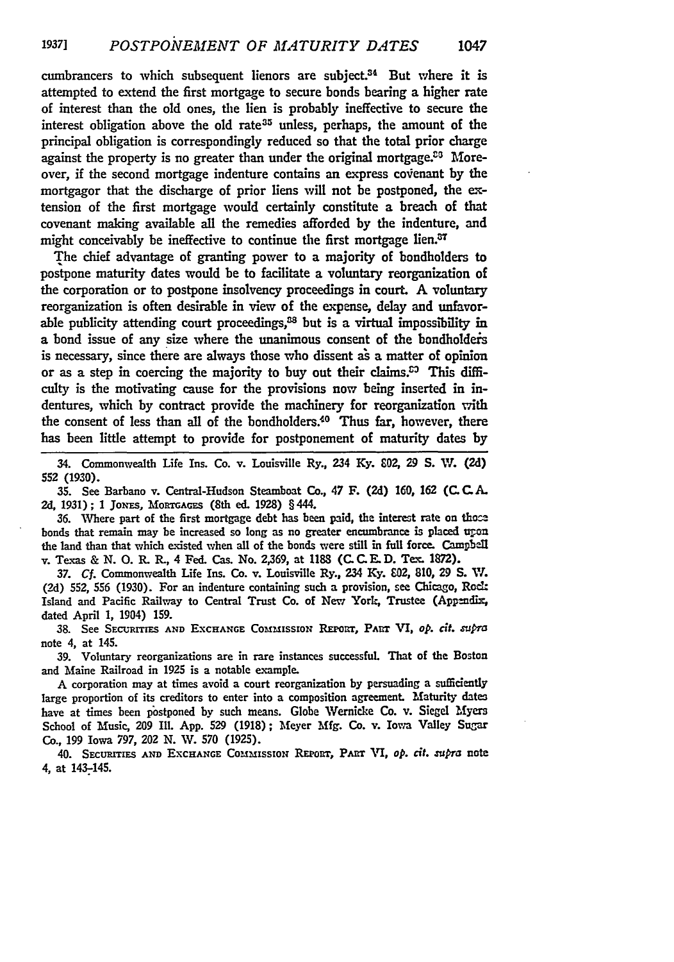cumbrancers to which subsequent lienors are subject.<sup>34</sup> But where it is attempted to extend the first mortgage to secure bonds bearing a higher rate of interest than the old ones, the lien is probably ineffective to secure the interest obligation above the old rate<sup>35</sup> unless, perhaps, the amount of the principal obligation is correspondingly reduced so that the total prior charge against the property is no greater than under the original mortgage. $20$  Moreover, if the second mortgage indenture contains an express coienant **by** the mortgagor that the discharge of prior liens will not be postponed, the extension of the first mortgage would certainly constitute a breach of that covenant maldng available all the remedies afforded **by** the indenture, and might conceivably be ineffective to continue the first mortgage lien.<sup>37</sup>

The chief advantage of granting power to a majority of bondholders to postpone maturity dates would be to facilitate a voluntary reorganization of the corporation or to postpone insolvency proceedings in court. **A** voluntary reorganization is often desirable in view of the expense, delay and unfavorable publicity attending court proceedings, $38$  but is a virtual impossibility in a bond issue of any size where the unanimous consent of the bondholders is necessary, since there are always those who dissent as a matter of opinion or as a step in coercing the majority to buy out their claims.<sup> $53$ </sup> This difficulty is the motivating cause for the provisions now being inserted in indentures, which **by** contract provide the machinery for reorganization with the consent of less than all of the bondholders.<sup>40</sup> Thus far, however, there has been little attempt to provide for postponement of maturity dates **by**

34. Commonwealth Life Ins. Co. v. Louisville Ry., 234 **Ky.** 802, **29 S. I'l. (2d) 552 (1930).**

**35.** See Barbano v. Central-Hudson Steamboat Co., 47 F. **(2d) 160,** *162* (C **C.A. 2d, 1931); 1** Joxzs, MoRTGAGEs (8th ed. **1928)** § 444.

**36.** Where part of the first mortgage debt has been paid, the interest rate on bonds that remain may be increased so long as no greater encumbrance is placed uron the land than that which existed when all of the bonds were still in full force. Campbell v. Texas & N. O. R. R., 4 Fed. Cas. No. 2,369, at 1183 (C. C. E. D. Tex. 1872).

*37. Cf.* Commonwealth Life Ins. Co. v. Louisville Ry., 234 **Ky. 802, 810,** 29 **S.** W. **(2d) 552, 556 (1930).** For an indenture containing such a provision, see Chicago, Roc. Island and Pacific Railway to Central Trust Co. of New York, Trustee **(Appedix,** dated April **1,** 1904) **159.**

38. See SECURITIES AND EXCHANGE COMMISSION REPORT, PART VI, op. cit.  $\mathfrak{supp}a$ note 4, at 145.

**39.** Voluntary reorganizations are in rare instances successful. That of the Boston and Maine Railroad in **1925** is a notable example.

A corporation may at times avoid a court reorganization **by** persuading a suficiently large proportion of its creditors to enter into a composition agreement. Maturity dates have at times been pistponed **by** such means. Globe Wernicke Co. v. Siegel Myers School of Music, **209** Ill. App. **529 (1918);** Meyer **Mfg.** Co. v. Iowa Valley Sugar Co., **199** Iowa **797,** 202 **N. W. 570 (1925).**

40. SECURITIES AND EXCHANGE COMMISSION REPORT, PART VI, op. cit. supra note 4, at 143-145.